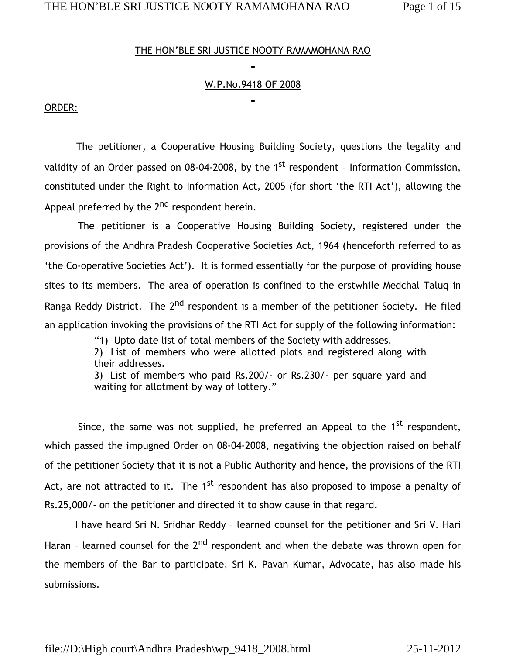## THE HON'BLE SRI JUSTICE NOOTY RAMAMOHANA RAO

## W.P.No.9418 OF 2008

#### ORDER:

 The petitioner, a Cooperative Housing Building Society, questions the legality and validity of an Order passed on 08-04-2008, by the  $1<sup>st</sup>$  respondent - Information Commission, constituted under the Right to Information Act, 2005 (for short 'the RTI Act'), allowing the Appeal preferred by the  $2<sup>nd</sup>$  respondent herein.

 The petitioner is a Cooperative Housing Building Society, registered under the provisions of the Andhra Pradesh Cooperative Societies Act, 1964 (henceforth referred to as 'the Co-operative Societies Act'). It is formed essentially for the purpose of providing house sites to its members. The area of operation is confined to the erstwhile Medchal Taluq in Ranga Reddy District. The 2<sup>nd</sup> respondent is a member of the petitioner Society. He filed an application invoking the provisions of the RTI Act for supply of the following information:

"1) Upto date list of total members of the Society with addresses.

2) List of members who were allotted plots and registered along with their addresses.

3) List of members who paid Rs.200/- or Rs.230/- per square yard and waiting for allotment by way of lottery."

Since, the same was not supplied, he preferred an Appeal to the  $1<sup>st</sup>$  respondent, which passed the impugned Order on 08-04-2008, negativing the objection raised on behalf of the petitioner Society that it is not a Public Authority and hence, the provisions of the RTI Act, are not attracted to it. The 1<sup>st</sup> respondent has also proposed to impose a penalty of Rs.25,000/- on the petitioner and directed it to show cause in that regard.

 I have heard Sri N. Sridhar Reddy – learned counsel for the petitioner and Sri V. Hari Haran - learned counsel for the 2<sup>nd</sup> respondent and when the debate was thrown open for the members of the Bar to participate, Sri K. Pavan Kumar, Advocate, has also made his submissions.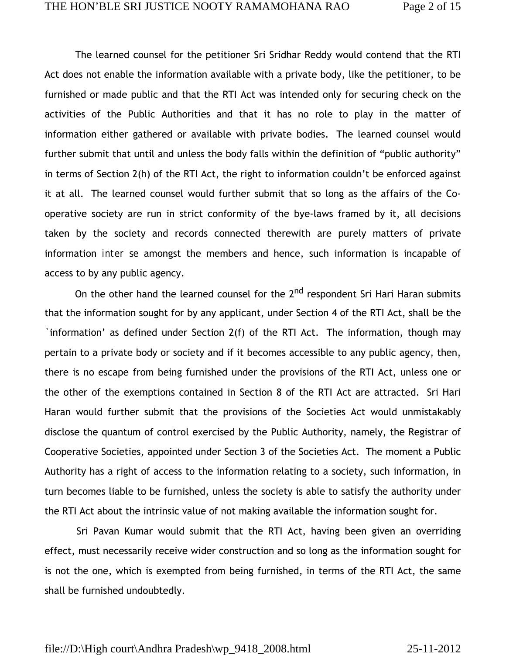The learned counsel for the petitioner Sri Sridhar Reddy would contend that the RTI Act does not enable the information available with a private body, like the petitioner, to be furnished or made public and that the RTI Act was intended only for securing check on the activities of the Public Authorities and that it has no role to play in the matter of information either gathered or available with private bodies. The learned counsel would further submit that until and unless the body falls within the definition of "public authority" in terms of Section 2(h) of the RTI Act, the right to information couldn't be enforced against it at all. The learned counsel would further submit that so long as the affairs of the Cooperative society are run in strict conformity of the bye-laws framed by it, all decisions taken by the society and records connected therewith are purely matters of private information *inter se* amongst the members and hence, such information is incapable of access to by any public agency.

On the other hand the learned counsel for the 2<sup>nd</sup> respondent Sri Hari Haran submits that the information sought for by any applicant, under Section 4 of the RTI Act, shall be the `information' as defined under Section 2(f) of the RTI Act. The information, though may pertain to a private body or society and if it becomes accessible to any public agency, then, there is no escape from being furnished under the provisions of the RTI Act, unless one or the other of the exemptions contained in Section 8 of the RTI Act are attracted. Sri Hari Haran would further submit that the provisions of the Societies Act would unmistakably disclose the quantum of control exercised by the Public Authority, namely, the Registrar of Cooperative Societies, appointed under Section 3 of the Societies Act. The moment a Public Authority has a right of access to the information relating to a society, such information, in turn becomes liable to be furnished, unless the society is able to satisfy the authority under the RTI Act about the intrinsic value of not making available the information sought for.

 Sri Pavan Kumar would submit that the RTI Act, having been given an overriding effect, must necessarily receive wider construction and so long as the information sought for is not the one, which is exempted from being furnished, in terms of the RTI Act, the same shall be furnished undoubtedly.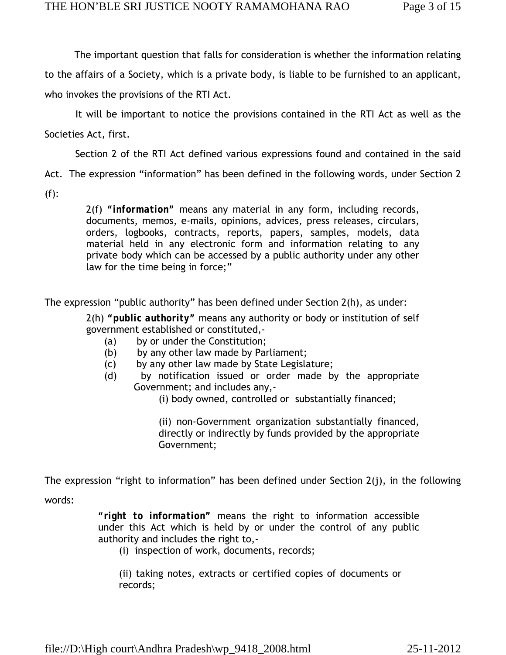The important question that falls for consideration is whether the information relating to the affairs of a Society, which is a private body, is liable to be furnished to an applicant,

who invokes the provisions of the RTI Act.

It will be important to notice the provisions contained in the RTI Act as well as the

Societies Act, first.

Section 2 of the RTI Act defined various expressions found and contained in the said

Act. The expression "information" has been defined in the following words, under Section 2

 $(f)$ :

2(f) *"information"* means any material in any form, including records, documents, memos, e-mails, opinions, advices, press releases, circulars, orders, logbooks, contracts, reports, papers, samples, models, data material held in any electronic form and information relating to any private body which can be accessed by a public authority under any other law for the time being in force;"

The expression "public authority" has been defined under Section 2(h), as under:

2(h) *"public authority"* means any authority or body or institution of self government established or constituted,-

- (a) by or under the Constitution;
- (b) by any other law made by Parliament;
- (c) by any other law made by State Legislature;
- (d) by notification issued or order made by the appropriate Government; and includes any,-

(i) body owned, controlled or substantially financed;

(ii) non-Government organization substantially financed, directly or indirectly by funds provided by the appropriate Government;

The expression "right to information" has been defined under Section 2(j), in the following

words:

*"right to information"* means the right to information accessible under this Act which is held by or under the control of any public authority and includes the right to,-

(i) inspection of work, documents, records;

(ii) taking notes, extracts or certified copies of documents or records;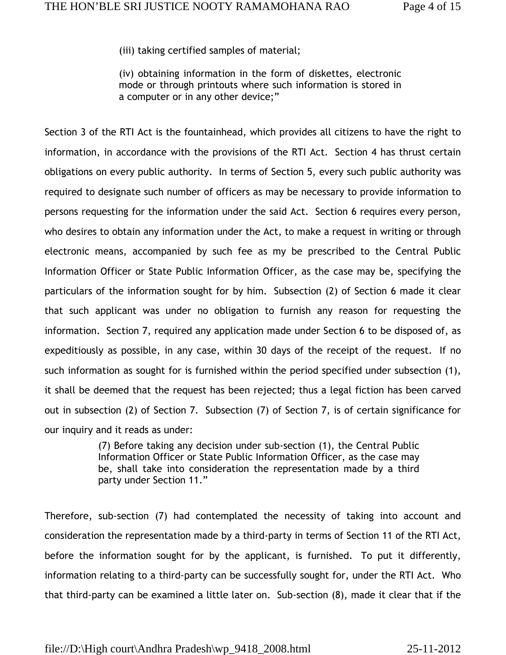(iii) taking certified samples of material;

(iv) obtaining information in the form of diskettes, electronic mode or through printouts where such information is stored in a computer or in any other device;"

Section 3 of the RTI Act is the fountainhead, which provides all citizens to have the right to information, in accordance with the provisions of the RTI Act. Section 4 has thrust certain obligations on every public authority. In terms of Section 5, every such public authority was required to designate such number of officers as may be necessary to provide information to persons requesting for the information under the said Act. Section 6 requires every person, who desires to obtain any information under the Act, to make a request in writing or through electronic means, accompanied by such fee as my be prescribed to the Central Public Information Officer or State Public Information Officer, as the case may be, specifying the particulars of the information sought for by him. Subsection (2) of Section 6 made it clear that such applicant was under no obligation to furnish any reason for requesting the information. Section 7, required any application made under Section 6 to be disposed of, as expeditiously as possible, in any case, within 30 days of the receipt of the request. If no such information as sought for is furnished within the period specified under subsection (1), it shall be deemed that the request has been rejected; thus a legal fiction has been carved out in subsection (2) of Section 7. Subsection (7) of Section 7, is of certain significance for our inquiry and it reads as under:

> (7) Before taking any decision under sub-section (1), the Central Public Information Officer or State Public Information Officer, as the case may be, shall take into consideration the representation made by a third party under Section 11."

Therefore, sub-section (7) had contemplated the necessity of taking into account and consideration the representation made by a third-party in terms of Section 11 of the RTI Act, before the information sought for by the applicant, is furnished. To put it differently, information relating to a third-party can be successfully sought for, under the RTI Act. Who that third-party can be examined a little later on. Sub-section (8), made it clear that if the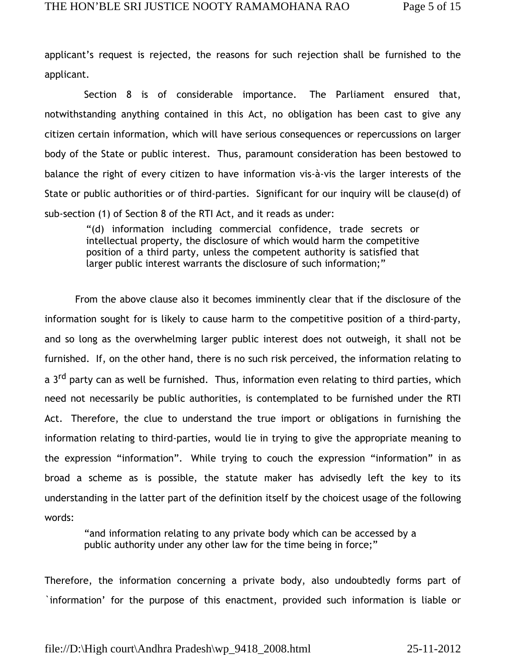applicant's request is rejected, the reasons for such rejection shall be furnished to the applicant.

 Section 8 is of considerable importance. The Parliament ensured that, notwithstanding anything contained in this Act, no obligation has been cast to give any citizen certain information, which will have serious consequences or repercussions on larger body of the State or public interest. Thus, paramount consideration has been bestowed to balance the right of every citizen to have information vis-à-vis the larger interests of the State or public authorities or of third-parties. Significant for our inquiry will be clause(d) of sub-section (1) of Section 8 of the RTI Act, and it reads as under:

"(d) information including commercial confidence, trade secrets or intellectual property, the disclosure of which would harm the competitive position of a third party, unless the competent authority is satisfied that larger public interest warrants the disclosure of such information;"

 From the above clause also it becomes imminently clear that if the disclosure of the information sought for is likely to cause harm to the competitive position of a third-party, and so long as the overwhelming larger public interest does not outweigh, it shall not be furnished. If, on the other hand, there is no such risk perceived, the information relating to a 3<sup>rd</sup> party can as well be furnished. Thus, information even relating to third parties, which need not necessarily be public authorities, is contemplated to be furnished under the RTI Act. Therefore, the clue to understand the true import or obligations in furnishing the information relating to third-parties, would lie in trying to give the appropriate meaning to the expression "information". While trying to couch the expression "information" in as broad a scheme as is possible, the statute maker has advisedly left the key to its understanding in the latter part of the definition itself by the choicest usage of the following words:

"and information relating to any private body which can be accessed by a public authority under any other law for the time being in force;"

Therefore, the information concerning a private body, also undoubtedly forms part of `information' for the purpose of this enactment, provided such information is liable or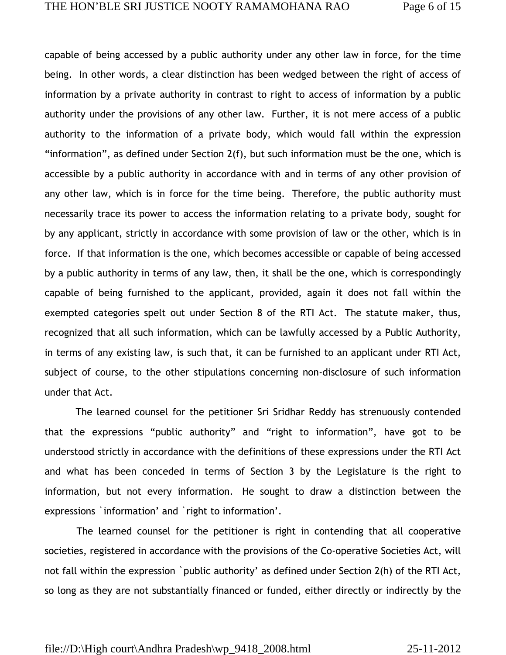capable of being accessed by a public authority under any other law in force, for the time being. In other words, a clear distinction has been wedged between the right of access of information by a private authority in contrast to right to access of information by a public authority under the provisions of any other law. Further, it is not mere access of a public authority to the information of a private body, which would fall within the expression "information", as defined under Section 2(f), but such information must be the one, which is accessible by a public authority in accordance with and in terms of any other provision of any other law, which is in force for the time being. Therefore, the public authority must necessarily trace its power to access the information relating to a private body, sought for by any applicant, strictly in accordance with some provision of law or the other, which is in force. If that information is the one, which becomes accessible or capable of being accessed by a public authority in terms of any law, then, it shall be the one, which is correspondingly capable of being furnished to the applicant, provided, again it does not fall within the exempted categories spelt out under Section 8 of the RTI Act. The statute maker, thus, recognized that all such information, which can be lawfully accessed by a Public Authority, in terms of any existing law, is such that, it can be furnished to an applicant under RTI Act, subject of course, to the other stipulations concerning non-disclosure of such information under that Act.

 The learned counsel for the petitioner Sri Sridhar Reddy has strenuously contended that the expressions "public authority" and "right to information", have got to be understood strictly in accordance with the definitions of these expressions under the RTI Act and what has been conceded in terms of Section 3 by the Legislature is the right to information, but not every information. He sought to draw a distinction between the expressions `information' and `right to information'.

 The learned counsel for the petitioner is right in contending that all cooperative societies, registered in accordance with the provisions of the Co-operative Societies Act, will not fall within the expression `public authority' as defined under Section 2(h) of the RTI Act, so long as they are not substantially financed or funded, either directly or indirectly by the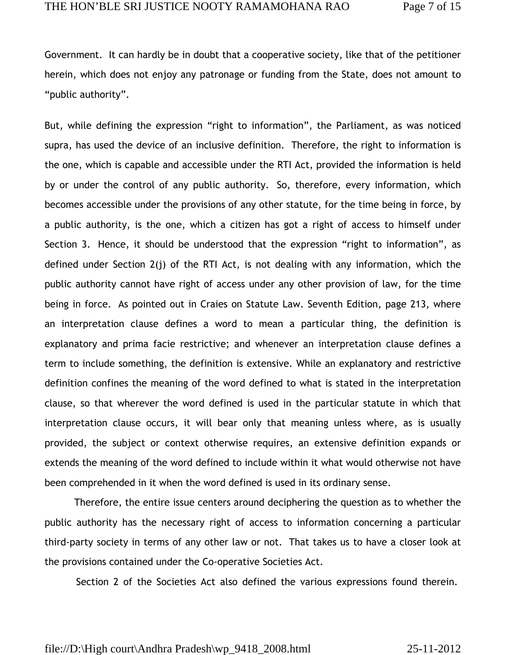Government. It can hardly be in doubt that a cooperative society, like that of the petitioner herein, which does not enjoy any patronage or funding from the State, does not amount to "public authority".

But, while defining the expression "right to information", the Parliament, as was noticed supra, has used the device of an inclusive definition. Therefore, the right to information is the one, which is capable and accessible under the RTI Act, provided the information is held by or under the control of any public authority. So, therefore, every information, which becomes accessible under the provisions of any other statute, for the time being in force, by a public authority, is the one, which a citizen has got a right of access to himself under Section 3. Hence, it should be understood that the expression "right to information", as defined under Section 2(j) of the RTI Act, is not dealing with any information, which the public authority cannot have right of access under any other provision of law, for the time being in force. As pointed out in Craies on Statute Law. Seventh Edition, page 213, where an interpretation clause defines a word to mean a particular thing, the definition is explanatory and prima facie restrictive; and whenever an interpretation clause defines a term to include something, the definition is extensive. While an explanatory and restrictive definition confines the meaning of the word defined to what is stated in the interpretation clause, so that wherever the word defined is used in the particular statute in which that interpretation clause occurs, it will bear only that meaning unless where, as is usually provided, the subject or context otherwise requires, an extensive definition expands or extends the meaning of the word defined to include within it what would otherwise not have been comprehended in it when the word defined is used in its ordinary sense.

Therefore, the entire issue centers around deciphering the question as to whether the public authority has the necessary right of access to information concerning a particular third-party society in terms of any other law or not. That takes us to have a closer look at the provisions contained under the Co-operative Societies Act.

Section 2 of the Societies Act also defined the various expressions found therein.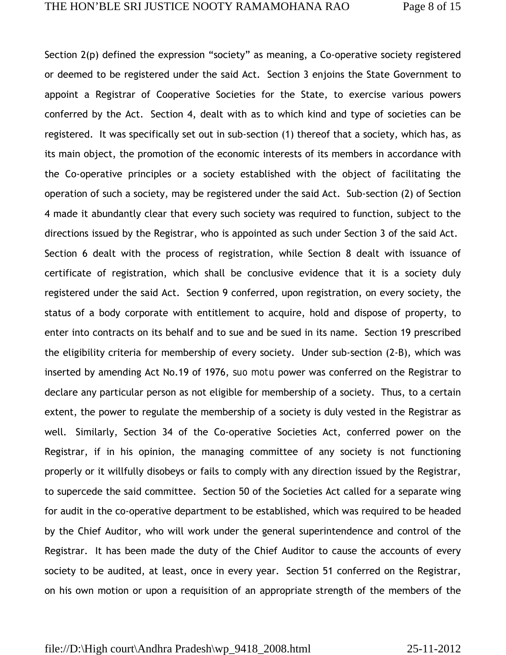Section 2(p) defined the expression "society" as meaning, a Co-operative society registered or deemed to be registered under the said Act. Section 3 enjoins the State Government to appoint a Registrar of Cooperative Societies for the State, to exercise various powers conferred by the Act. Section 4, dealt with as to which kind and type of societies can be registered. It was specifically set out in sub-section (1) thereof that a society, which has, as its main object, the promotion of the economic interests of its members in accordance with the Co-operative principles or a society established with the object of facilitating the operation of such a society, may be registered under the said Act. Sub-section (2) of Section 4 made it abundantly clear that every such society was required to function, subject to the directions issued by the Registrar, who is appointed as such under Section 3 of the said Act. Section 6 dealt with the process of registration, while Section 8 dealt with issuance of certificate of registration, which shall be conclusive evidence that it is a society duly registered under the said Act. Section 9 conferred, upon registration, on every society, the status of a body corporate with entitlement to acquire, hold and dispose of property, to enter into contracts on its behalf and to sue and be sued in its name. Section 19 prescribed the eligibility criteria for membership of every society. Under sub-section (2-B), which was inserted by amending Act No.19 of 1976, *suo motu* power was conferred on the Registrar to declare any particular person as not eligible for membership of a society. Thus, to a certain extent, the power to regulate the membership of a society is duly vested in the Registrar as well. Similarly, Section 34 of the Co-operative Societies Act, conferred power on the Registrar, if in his opinion, the managing committee of any society is not functioning properly or it willfully disobeys or fails to comply with any direction issued by the Registrar, to supercede the said committee. Section 50 of the Societies Act called for a separate wing for audit in the co-operative department to be established, which was required to be headed by the Chief Auditor, who will work under the general superintendence and control of the Registrar. It has been made the duty of the Chief Auditor to cause the accounts of every society to be audited, at least, once in every year. Section 51 conferred on the Registrar, on his own motion or upon a requisition of an appropriate strength of the members of the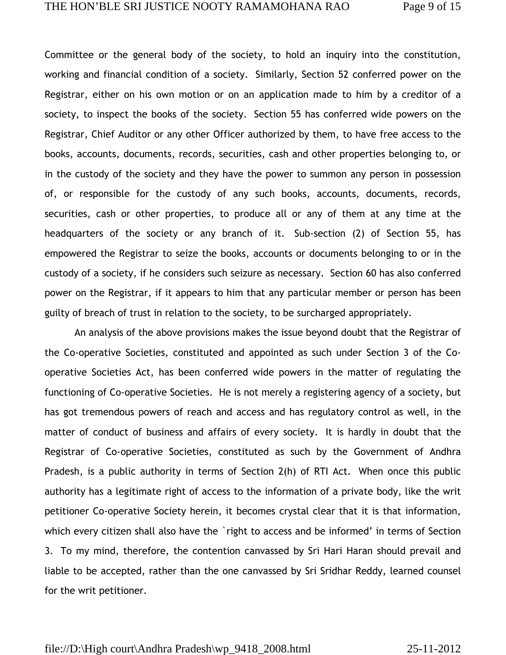Committee or the general body of the society, to hold an inquiry into the constitution, working and financial condition of a society. Similarly, Section 52 conferred power on the Registrar, either on his own motion or on an application made to him by a creditor of a society, to inspect the books of the society. Section 55 has conferred wide powers on the Registrar, Chief Auditor or any other Officer authorized by them, to have free access to the books, accounts, documents, records, securities, cash and other properties belonging to, or in the custody of the society and they have the power to summon any person in possession of, or responsible for the custody of any such books, accounts, documents, records, securities, cash or other properties, to produce all or any of them at any time at the headquarters of the society or any branch of it. Sub-section (2) of Section 55, has empowered the Registrar to seize the books, accounts or documents belonging to or in the custody of a society, if he considers such seizure as necessary. Section 60 has also conferred power on the Registrar, if it appears to him that any particular member or person has been guilty of breach of trust in relation to the society, to be surcharged appropriately.

 An analysis of the above provisions makes the issue beyond doubt that the Registrar of the Co-operative Societies, constituted and appointed as such under Section 3 of the Cooperative Societies Act, has been conferred wide powers in the matter of regulating the functioning of Co-operative Societies. He is not merely a registering agency of a society, but has got tremendous powers of reach and access and has regulatory control as well, in the matter of conduct of business and affairs of every society. It is hardly in doubt that the Registrar of Co-operative Societies, constituted as such by the Government of Andhra Pradesh, is a public authority in terms of Section 2(h) of RTI Act. When once this public authority has a legitimate right of access to the information of a private body, like the writ petitioner Co-operative Society herein, it becomes crystal clear that it is that information, which every citizen shall also have the `right to access and be informed' in terms of Section 3. To my mind, therefore, the contention canvassed by Sri Hari Haran should prevail and liable to be accepted, rather than the one canvassed by Sri Sridhar Reddy, learned counsel for the writ petitioner.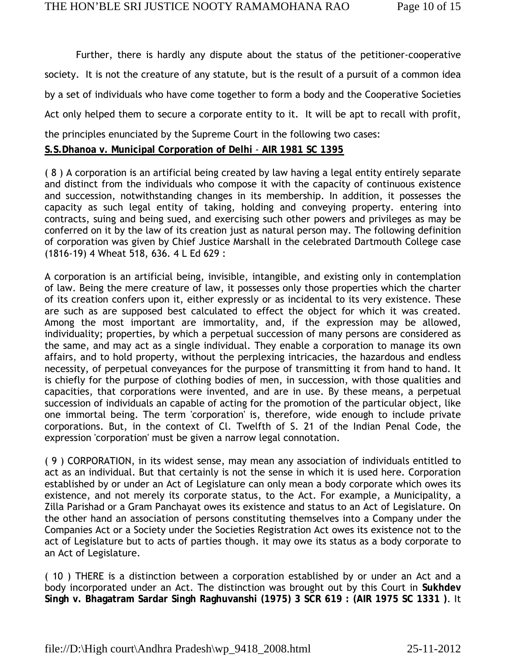Further, there is hardly any dispute about the status of the petitioner-cooperative society. It is not the creature of any statute, but is the result of a pursuit of a common idea by a set of individuals who have come together to form a body and the Cooperative Societies Act only helped them to secure a corporate entity to it. It will be apt to recall with profit, the principles enunciated by the Supreme Court in the following two cases: **S.S.Dhanoa v. Municipal Corporation of Delhi** - **AIR 1981 SC 1395**

( 8 ) A corporation is an artificial being created by law having a legal entity entirely separate and distinct from the individuals who compose it with the capacity of continuous existence and succession, notwithstanding changes in its membership. In addition, it possesses the capacity as such legal entity of taking, holding and conveying property. entering into contracts, suing and being sued, and exercising such other powers and privileges as may be conferred on it by the law of its creation just as natural person may. The following definition of corporation was given by Chief Justice Marshall in the celebrated Dartmouth College case (1816-19) 4 Wheat 518, 636. 4 L Ed 629 :

A corporation is an artificial being, invisible, intangible, and existing only in contemplation of law. Being the mere creature of law, it possesses only those properties which the charter of its creation confers upon it, either expressly or as incidental to its very existence. These are such as are supposed best calculated to effect the object for which it was created. Among the most important are immortality, and, if the expression may be allowed, individuality; properties, by which a perpetual succession of many persons are considered as the same, and may act as a single individual. They enable a corporation to manage its own affairs, and to hold property, without the perplexing intricacies, the hazardous and endless necessity, of perpetual conveyances for the purpose of transmitting it from hand to hand. It is chiefly for the purpose of clothing bodies of men, in succession, with those qualities and capacities, that corporations were invented, and are in use. By these means, a perpetual succession of individuals an capable of acting for the promotion of the particular object, like one immortal being. The term 'corporation' is, therefore, wide enough to include private corporations. But, in the context of Cl. Twelfth of S. 21 of the Indian Penal Code, the expression 'corporation' must be given a narrow legal connotation.

( 9 ) CORPORATION, in its widest sense, may mean any association of individuals entitled to act as an individual. But that certainly is not the sense in which it is used here. Corporation established by or under an Act of Legislature can only mean a body corporate which owes its existence, and not merely its corporate status, to the Act. For example, a Municipality, a Zilla Parishad or a Gram Panchayat owes its existence and status to an Act of Legislature. On the other hand an association of persons constituting themselves into a Company under the Companies Act or a Society under the Societies Registration Act owes its existence not to the act of Legislature but to acts of parties though. it may owe its status as a body corporate to an Act of Legislature.

( 10 ) THERE is a distinction between a corporation established by or under an Act and a body incorporated under an Act. The distinction was brought out by this Court in **Sukhdev Singh v. Bhagatram Sardar Singh Raghuvanshi (1975) 3 SCR 619 : (AIR 1975 SC 1331 )**. It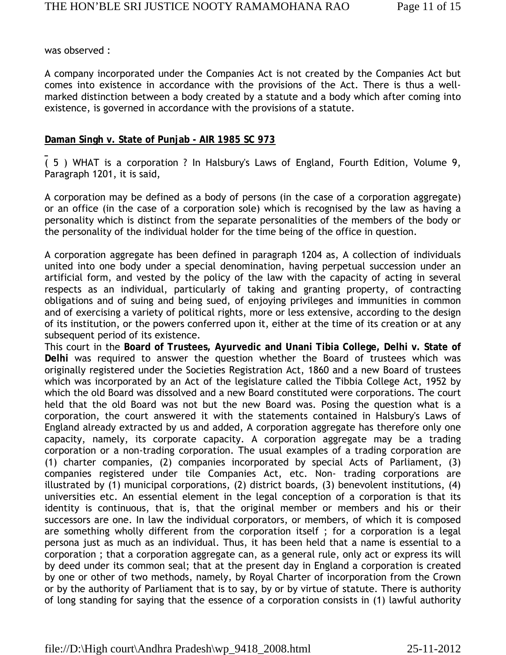was observed :

A company incorporated under the Companies Act is not created by the Companies Act but comes into existence in accordance with the provisions of the Act. There is thus a wellmarked distinction between a body created by a statute and a body which after coming into existence, is governed in accordance with the provisions of a statute.

#### **Daman Singh v. State of Punjab - AIR 1985 SC 973**

( 5 ) WHAT is a corporation ? In Halsbury's Laws of England, Fourth Edition, Volume 9, Paragraph 1201, it is said,

A corporation may be defined as a body of persons (in the case of a corporation aggregate) or an office (in the case of a corporation sole) which is recognised by the law as having a personality which is distinct from the separate personalities of the members of the body or the personality of the individual holder for the time being of the office in question.

A corporation aggregate has been defined in paragraph 1204 as, A collection of individuals united into one body under a special denomination, having perpetual succession under an artificial form, and vested by the policy of the law with the capacity of acting in several respects as an individual, particularly of taking and granting property, of contracting obligations and of suing and being sued, of enjoying privileges and immunities in common and of exercising a variety of political rights, more or less extensive, according to the design of its institution, or the powers conferred upon it, either at the time of its creation or at any subsequent period of its existence.

This court in the **Board of Trustees, Ayurvedic and Unani Tibia College, Delhi v. State of Delhi** was required to answer the question whether the Board of trustees which was originally registered under the Societies Registration Act, 1860 and a new Board of trustees which was incorporated by an Act of the legislature called the Tibbia College Act, 1952 by which the old Board was dissolved and a new Board constituted were corporations. The court held that the old Board was not but the new Board was. Posing the question what is a corporation, the court answered it with the statements contained in Halsbury's Laws of England already extracted by us and added, A corporation aggregate has therefore only one capacity, namely, its corporate capacity. A corporation aggregate may be a trading corporation or a non-trading corporation. The usual examples of a trading corporation are (1) charter companies, (2) companies incorporated by special Acts of Parliament, (3) companies registered under tile Companies Act, etc. Non- trading corporations are illustrated by (1) municipal corporations, (2) district boards, (3) benevolent institutions, (4) universities etc. An essential element in the legal conception of a corporation is that its identity is continuous, that is, that the original member or members and his or their successors are one. In law the individual corporators, or members, of which it is composed are something wholly different from the corporation itself ; for a corporation is a legal persona just as much as an individual. Thus, it has been held that a name is essential to a corporation ; that a corporation aggregate can, as a general rule, only act or express its will by deed under its common seal; that at the present day in England a corporation is created by one or other of two methods, namely, by Royal Charter of incorporation from the Crown or by the authority of Parliament that is to say, by or by virtue of statute. There is authority of long standing for saying that the essence of a corporation consists in (1) lawful authority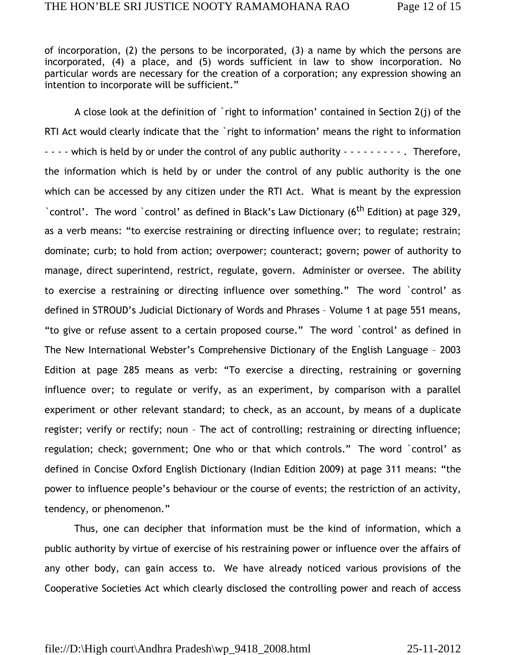of incorporation, (2) the persons to be incorporated, (3) a name by which the persons are incorporated, (4) a place, and (5) words sufficient in law to show incorporation. No particular words are necessary for the creation of a corporation; any expression showing an intention to incorporate will be sufficient."

 A close look at the definition of `right to information' contained in Section 2(j) of the RTI Act would clearly indicate that the `right to information' means the right to information - - - - which is held by or under the control of any public authority - - - - - - - - . Therefore, the information which is held by or under the control of any public authority is the one which can be accessed by any citizen under the RTI Act. What is meant by the expression `control'. The word `control' as defined in Black's Law Dictionary (6<sup>th</sup> Edition) at page 329, as a verb means: "to exercise restraining or directing influence over; to regulate; restrain; dominate; curb; to hold from action; overpower; counteract; govern; power of authority to manage, direct superintend, restrict, regulate, govern. Administer or oversee. The ability to exercise a restraining or directing influence over something." The word `control' as defined in STROUD's Judicial Dictionary of Words and Phrases – Volume 1 at page 551 means, "to give or refuse assent to a certain proposed course." The word `control' as defined in The New International Webster's Comprehensive Dictionary of the English Language – 2003 Edition at page 285 means as verb: "To exercise a directing, restraining or governing influence over; to regulate or verify, as an experiment, by comparison with a parallel experiment or other relevant standard; to check, as an account, by means of a duplicate register; verify or rectify; noun – The act of controlling; restraining or directing influence; regulation; check; government; One who or that which controls." The word `control' as defined in Concise Oxford English Dictionary (Indian Edition 2009) at page 311 means: "the power to influence people's behaviour or the course of events; the restriction of an activity, tendency, or phenomenon."

Thus, one can decipher that information must be the kind of information, which a public authority by virtue of exercise of his restraining power or influence over the affairs of any other body, can gain access to. We have already noticed various provisions of the Cooperative Societies Act which clearly disclosed the controlling power and reach of access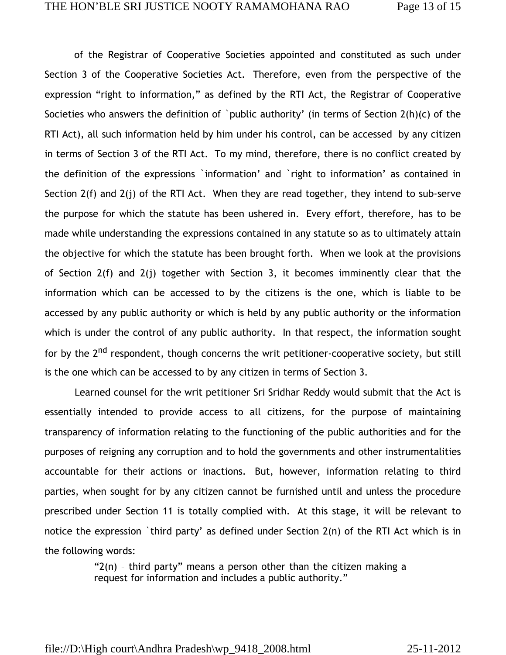of the Registrar of Cooperative Societies appointed and constituted as such under Section 3 of the Cooperative Societies Act. Therefore, even from the perspective of the expression "right to information," as defined by the RTI Act, the Registrar of Cooperative Societies who answers the definition of `public authority' (in terms of Section 2(h)(c) of the RTI Act), all such information held by him under his control, can be accessed by any citizen in terms of Section 3 of the RTI Act. To my mind, therefore, there is no conflict created by the definition of the expressions `information' and `right to information' as contained in Section 2(f) and 2(j) of the RTI Act. When they are read together, they intend to sub-serve the purpose for which the statute has been ushered in. Every effort, therefore, has to be made while understanding the expressions contained in any statute so as to ultimately attain the objective for which the statute has been brought forth. When we look at the provisions of Section 2(f) and 2(j) together with Section 3, it becomes imminently clear that the information which can be accessed to by the citizens is the one, which is liable to be accessed by any public authority or which is held by any public authority or the information which is under the control of any public authority. In that respect, the information sought for by the 2<sup>nd</sup> respondent, though concerns the writ petitioner-cooperative society, but still is the one which can be accessed to by any citizen in terms of Section 3.

 Learned counsel for the writ petitioner Sri Sridhar Reddy would submit that the Act is essentially intended to provide access to all citizens, for the purpose of maintaining transparency of information relating to the functioning of the public authorities and for the purposes of reigning any corruption and to hold the governments and other instrumentalities accountable for their actions or inactions. But, however, information relating to third parties, when sought for by any citizen cannot be furnished until and unless the procedure prescribed under Section 11 is totally complied with. At this stage, it will be relevant to notice the expression `third party' as defined under Section 2(n) of the RTI Act which is in the following words:

> " $2(n)$  - third party" means a person other than the citizen making a request for information and includes a public authority."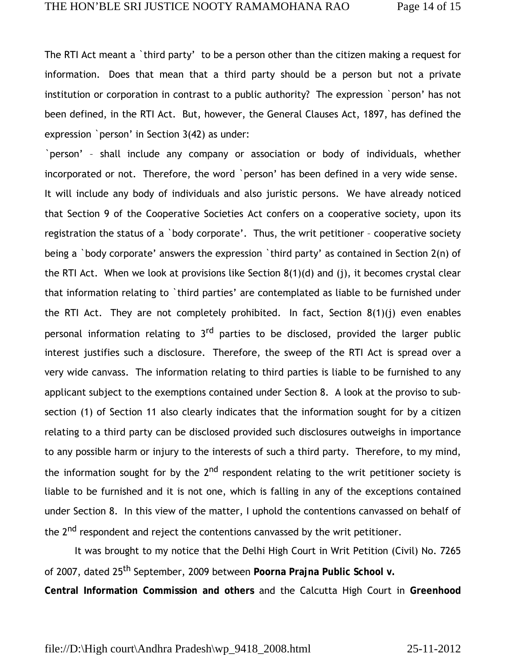The RTI Act meant a `third party' to be a person other than the citizen making a request for information. Does that mean that a third party should be a person but not a private institution or corporation in contrast to a public authority? The expression `person' has not been defined, in the RTI Act. But, however, the General Clauses Act, 1897, has defined the expression `person' in Section 3(42) as under:

`person' – shall include any company or association or body of individuals, whether incorporated or not. Therefore, the word `person' has been defined in a very wide sense. It will include any body of individuals and also juristic persons. We have already noticed that Section 9 of the Cooperative Societies Act confers on a cooperative society, upon its registration the status of a `body corporate'. Thus, the writ petitioner – cooperative society being a `body corporate' answers the expression `third party' as contained in Section 2(n) of the RTI Act. When we look at provisions like Section 8(1)(d) and (j), it becomes crystal clear that information relating to `third parties' are contemplated as liable to be furnished under the RTI Act. They are not completely prohibited. In fact, Section  $8(1)(j)$  even enables personal information relating to 3<sup>rd</sup> parties to be disclosed, provided the larger public interest justifies such a disclosure. Therefore, the sweep of the RTI Act is spread over a very wide canvass. The information relating to third parties is liable to be furnished to any applicant subject to the exemptions contained under Section 8. A look at the proviso to subsection (1) of Section 11 also clearly indicates that the information sought for by a citizen relating to a third party can be disclosed provided such disclosures outweighs in importance to any possible harm or injury to the interests of such a third party. Therefore, to my mind, the information sought for by the  $2<sup>nd</sup>$  respondent relating to the writ petitioner society is liable to be furnished and it is not one, which is falling in any of the exceptions contained under Section 8. In this view of the matter, I uphold the contentions canvassed on behalf of the 2<sup>nd</sup> respondent and reject the contentions canvassed by the writ petitioner.

 It was brought to my notice that the Delhi High Court in Writ Petition (Civil) No. 7265 of 2007, dated 25th September, 2009 between **Poorna Prajna Public School v. Central Information Commission and others** and the Calcutta High Court in **Greenhood**